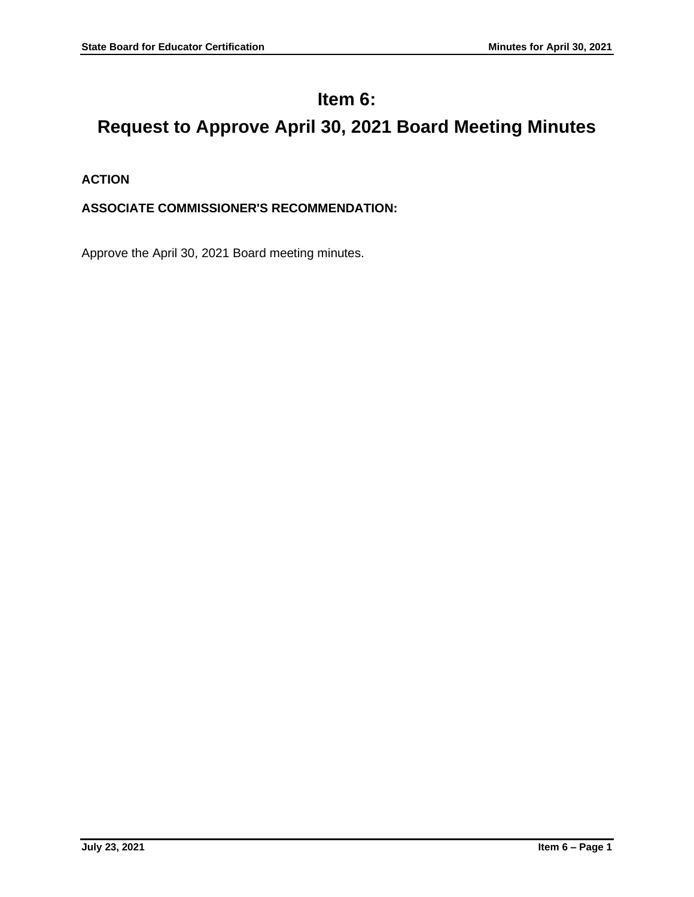## **Item 6:**

# **Request to Approve April 30, 2021 Board Meeting Minutes**

## **ACTION**

## **ASSOCIATE COMMISSIONER'S RECOMMENDATION:**

Approve the April 30, 2021 Board meeting minutes.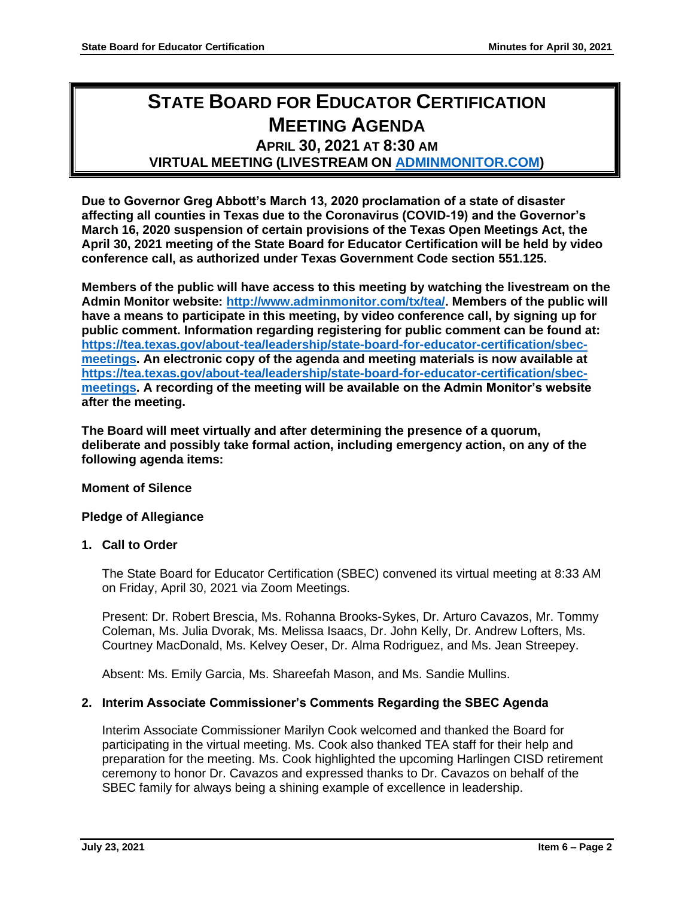## **STATE BOARD FOR EDUCATOR CERTIFICATION MEETING AGENDA APRIL 30, 2021 AT 8:30 AM**

## **VIRTUAL MEETING (LIVESTREAM ON [ADMINMONITOR.COM\)](http://www.adminmonitor.com/tx/tea/)**

**Due to Governor Greg Abbott's March 13, 2020 proclamation of a state of disaster affecting all counties in Texas due to the Coronavirus (COVID-19) and the Governor's March 16, 2020 suspension of certain provisions of the Texas Open Meetings Act, the April 30, 2021 meeting of the State Board for Educator Certification will be held by video conference call, as authorized under Texas Government Code section 551.125.**

**Members of the public will have access to this meeting by watching the livestream on the Admin Monitor website: [http://www.adminmonitor.com/tx/tea/.](http://www.adminmonitor.com/tx/tea/) Members of the public will have a means to participate in this meeting, by video conference call, by signing up for public comment. Information regarding registering for public comment can be found at: [https://tea.texas.gov/about-tea/leadership/state-board-for-educator-certification/sbec](https://nam10.safelinks.protection.outlook.com/?url=https%3A%2F%2Ftea.texas.gov%2Fabout-tea%2Fleadership%2Fstate-board-for-educator-certification%2Fsbec-meetings&data=02%7C01%7CKatelin.Allen%40tea.texas.gov%7C33f09bed51314321053e08d7e6d36cb5%7C65d6b3c3723648189613248dbd713a6f%7C0%7C0%7C637231668044732631&sdata=p8LIEPR4IIZEJnEdirrTXTHGHIbtX2MWtvumJv7Tzho%3D&reserved=0)[meetings.](https://nam10.safelinks.protection.outlook.com/?url=https%3A%2F%2Ftea.texas.gov%2Fabout-tea%2Fleadership%2Fstate-board-for-educator-certification%2Fsbec-meetings&data=02%7C01%7CKatelin.Allen%40tea.texas.gov%7C33f09bed51314321053e08d7e6d36cb5%7C65d6b3c3723648189613248dbd713a6f%7C0%7C0%7C637231668044732631&sdata=p8LIEPR4IIZEJnEdirrTXTHGHIbtX2MWtvumJv7Tzho%3D&reserved=0) An electronic copy of the agenda and meeting materials is now available at [https://tea.texas.gov/about-tea/leadership/state-board-for-educator-certification/sbec](https://tea.texas.gov/about-tea/leadership/state-board-for-educator-certification/sbec-meetings)[meetings.](https://tea.texas.gov/about-tea/leadership/state-board-for-educator-certification/sbec-meetings) A recording of the meeting will be available on the Admin Monitor's website after the meeting.**

**The Board will meet virtually and after determining the presence of a quorum, deliberate and possibly take formal action, including emergency action, on any of the following agenda items:**

#### **Moment of Silence**

#### **Pledge of Allegiance**

#### **1. Call to Order**

The State Board for Educator Certification (SBEC) convened its virtual meeting at 8:33 AM on Friday, April 30, 2021 via Zoom Meetings.

Present: Dr. Robert Brescia, Ms. Rohanna Brooks-Sykes, Dr. Arturo Cavazos, Mr. Tommy Coleman, Ms. Julia Dvorak, Ms. Melissa Isaacs, Dr. John Kelly, Dr. Andrew Lofters, Ms. Courtney MacDonald, Ms. Kelvey Oeser, Dr. Alma Rodriguez, and Ms. Jean Streepey.

Absent: Ms. Emily Garcia, Ms. Shareefah Mason, and Ms. Sandie Mullins.

## **2. Interim Associate Commissioner's Comments Regarding the SBEC Agenda**

Interim Associate Commissioner Marilyn Cook welcomed and thanked the Board for participating in the virtual meeting. Ms. Cook also thanked TEA staff for their help and preparation for the meeting. Ms. Cook highlighted the upcoming Harlingen CISD retirement ceremony to honor Dr. Cavazos and expressed thanks to Dr. Cavazos on behalf of the SBEC family for always being a shining example of excellence in leadership.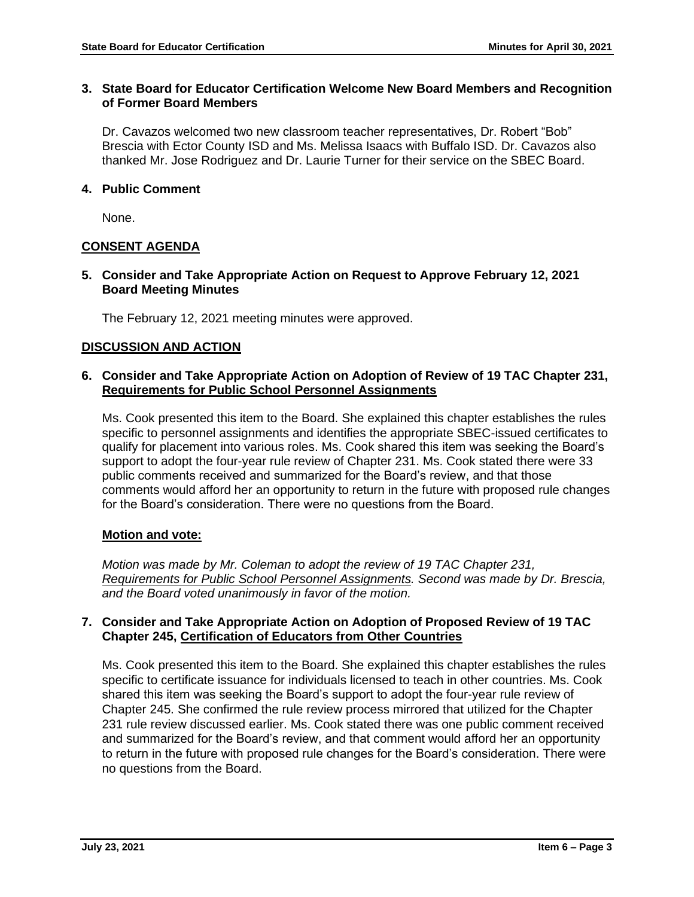### **3. State Board for Educator Certification Welcome New Board Members and Recognition of Former Board Members**

Dr. Cavazos welcomed two new classroom teacher representatives, Dr. Robert "Bob" Brescia with Ector County ISD and Ms. Melissa Isaacs with Buffalo ISD. Dr. Cavazos also thanked Mr. Jose Rodriguez and Dr. Laurie Turner for their service on the SBEC Board.

## **4. Public Comment**

None.

## **CONSENT AGENDA**

## **5. Consider and Take Appropriate Action on Request to Approve February 12, 2021 Board Meeting Minutes**

The February 12, 2021 meeting minutes were approved.

## **DISCUSSION AND ACTION**

#### **6. Consider and Take Appropriate Action on Adoption of Review of 19 TAC Chapter 231, Requirements for Public School Personnel Assignments**

Ms. Cook presented this item to the Board. She explained this chapter establishes the rules specific to personnel assignments and identifies the appropriate SBEC-issued certificates to qualify for placement into various roles. Ms. Cook shared this item was seeking the Board's support to adopt the four-year rule review of Chapter 231. Ms. Cook stated there were 33 public comments received and summarized for the Board's review, and that those comments would afford her an opportunity to return in the future with proposed rule changes for the Board's consideration. There were no questions from the Board.

#### **Motion and vote:**

*Motion was made by Mr. Coleman to adopt the review of 19 TAC Chapter 231, Requirements for Public School Personnel Assignments. Second was made by Dr. Brescia, and the Board voted unanimously in favor of the motion.*

### **7. Consider and Take Appropriate Action on Adoption of Proposed Review of 19 TAC Chapter 245, Certification of Educators from Other Countries**

Ms. Cook presented this item to the Board. She explained this chapter establishes the rules specific to certificate issuance for individuals licensed to teach in other countries. Ms. Cook shared this item was seeking the Board's support to adopt the four-year rule review of Chapter 245. She confirmed the rule review process mirrored that utilized for the Chapter 231 rule review discussed earlier. Ms. Cook stated there was one public comment received and summarized for the Board's review, and that comment would afford her an opportunity to return in the future with proposed rule changes for the Board's consideration. There were no questions from the Board.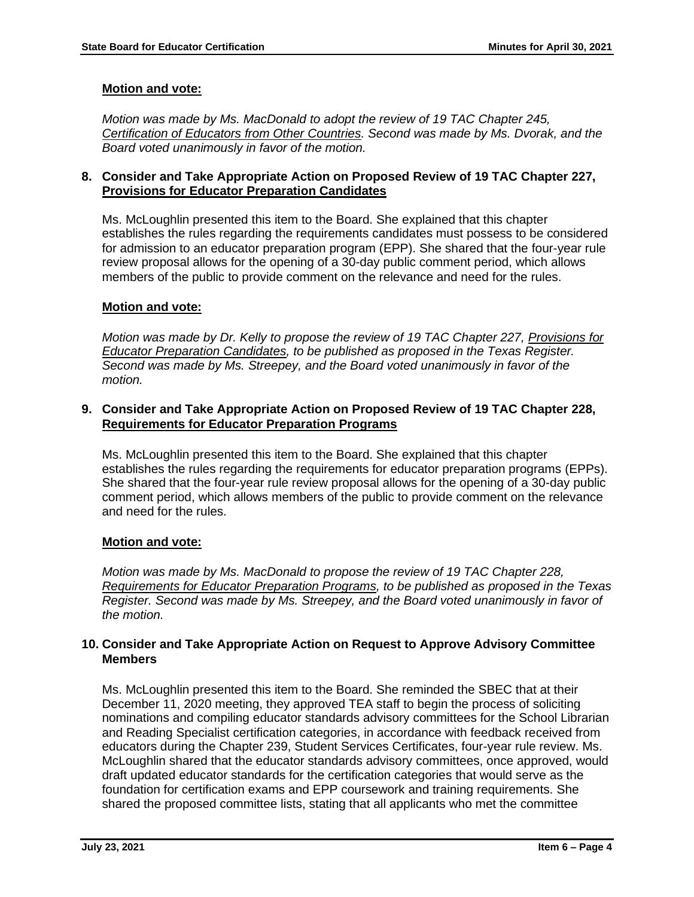## **Motion and vote:**

*Motion was made by Ms. MacDonald to adopt the review of 19 TAC Chapter 245, Certification of Educators from Other Countries. Second was made by Ms. Dvorak, and the Board voted unanimously in favor of the motion.*

## **8. Consider and Take Appropriate Action on Proposed Review of 19 TAC Chapter 227, Provisions for Educator Preparation Candidates**

Ms. McLoughlin presented this item to the Board. She explained that this chapter establishes the rules regarding the requirements candidates must possess to be considered for admission to an educator preparation program (EPP). She shared that the four-year rule review proposal allows for the opening of a 30-day public comment period, which allows members of the public to provide comment on the relevance and need for the rules.

## **Motion and vote:**

*Motion was made by Dr. Kelly to propose the review of 19 TAC Chapter 227, Provisions for Educator Preparation Candidates, to be published as proposed in the Texas Register. Second was made by Ms. Streepey, and the Board voted unanimously in favor of the motion.*

## **9. Consider and Take Appropriate Action on Proposed Review of 19 TAC Chapter 228, Requirements for Educator Preparation Programs**

Ms. McLoughlin presented this item to the Board. She explained that this chapter establishes the rules regarding the requirements for educator preparation programs (EPPs). She shared that the four-year rule review proposal allows for the opening of a 30-day public comment period, which allows members of the public to provide comment on the relevance and need for the rules.

## **Motion and vote:**

*Motion was made by Ms. MacDonald to propose the review of 19 TAC Chapter 228, Requirements for Educator Preparation Programs, to be published as proposed in the Texas Register. Second was made by Ms. Streepey, and the Board voted unanimously in favor of the motion.*

## **10. Consider and Take Appropriate Action on Request to Approve Advisory Committee Members**

Ms. McLoughlin presented this item to the Board. She reminded the SBEC that at their December 11, 2020 meeting, they approved TEA staff to begin the process of soliciting nominations and compiling educator standards advisory committees for the School Librarian and Reading Specialist certification categories, in accordance with feedback received from educators during the Chapter 239, Student Services Certificates, four-year rule review. Ms. McLoughlin shared that the educator standards advisory committees, once approved, would draft updated educator standards for the certification categories that would serve as the foundation for certification exams and EPP coursework and training requirements. She shared the proposed committee lists, stating that all applicants who met the committee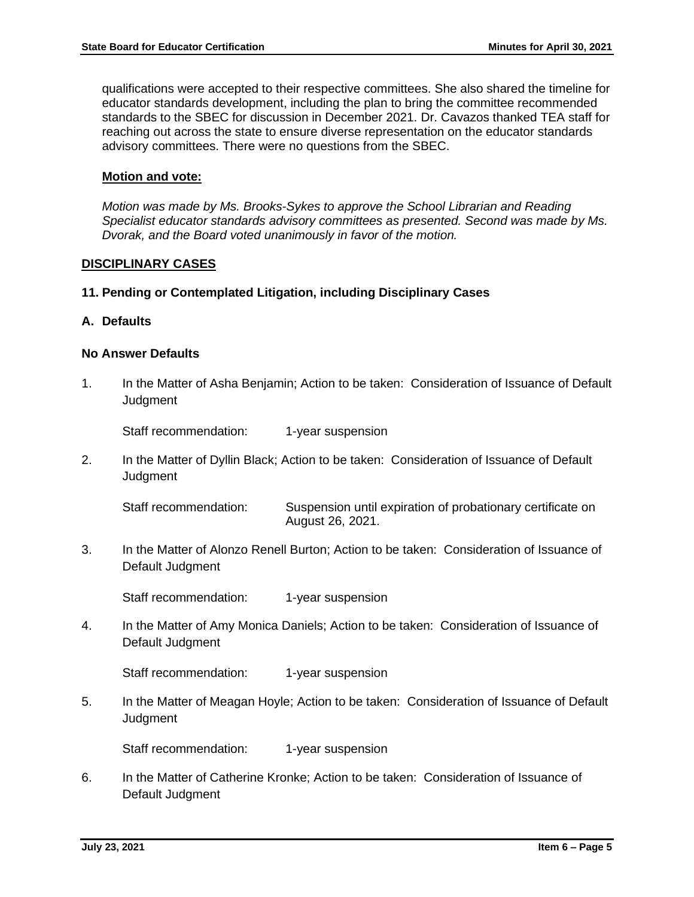qualifications were accepted to their respective committees. She also shared the timeline for educator standards development, including the plan to bring the committee recommended standards to the SBEC for discussion in December 2021. Dr. Cavazos thanked TEA staff for reaching out across the state to ensure diverse representation on the educator standards advisory committees. There were no questions from the SBEC.

#### **Motion and vote:**

*Motion was made by Ms. Brooks-Sykes to approve the School Librarian and Reading Specialist educator standards advisory committees as presented. Second was made by Ms. Dvorak, and the Board voted unanimously in favor of the motion.*

#### **DISCIPLINARY CASES**

#### **11. Pending or Contemplated Litigation, including Disciplinary Cases**

#### **A. Defaults**

#### **No Answer Defaults**

1. In the Matter of Asha Benjamin; Action to be taken: Consideration of Issuance of Default **Judament** 

Staff recommendation: 1-year suspension

2. In the Matter of Dyllin Black; Action to be taken: Consideration of Issuance of Default **Judgment** 

Staff recommendation: Suspension until expiration of probationary certificate on August 26, 2021.

3. In the Matter of Alonzo Renell Burton; Action to be taken: Consideration of Issuance of Default Judgment

Staff recommendation: 1-year suspension

4. In the Matter of Amy Monica Daniels; Action to be taken: Consideration of Issuance of Default Judgment

Staff recommendation: 1-year suspension

5. In the Matter of Meagan Hoyle; Action to be taken: Consideration of Issuance of Default **Judgment** 

Staff recommendation: 1-year suspension

6. In the Matter of Catherine Kronke; Action to be taken: Consideration of Issuance of Default Judgment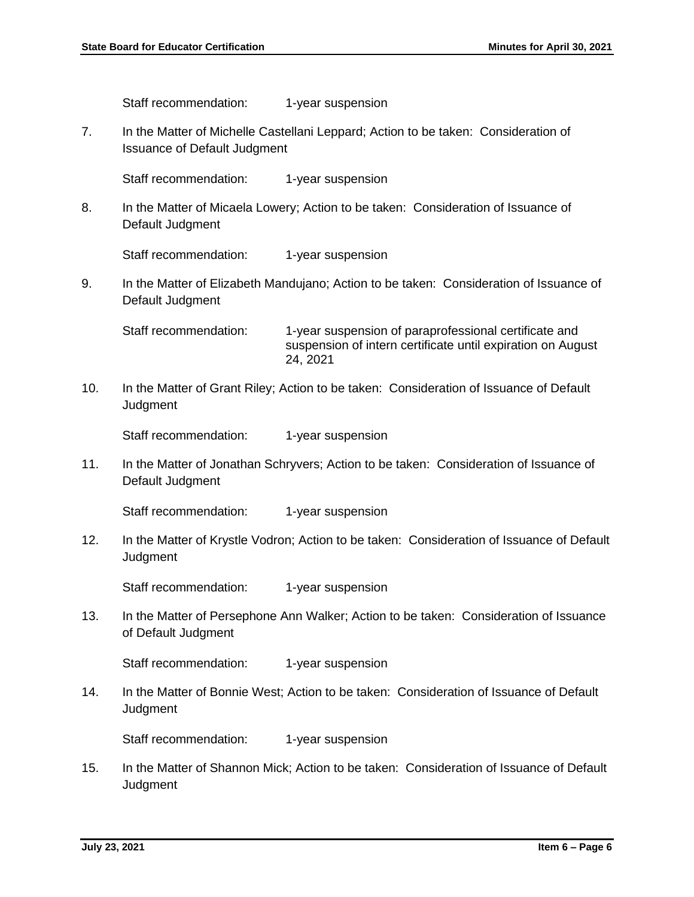Staff recommendation: 1-year suspension

7. In the Matter of Michelle Castellani Leppard; Action to be taken: Consideration of Issuance of Default Judgment

Staff recommendation: 1-year suspension

8. In the Matter of Micaela Lowery; Action to be taken: Consideration of Issuance of Default Judgment

Staff recommendation: 1-year suspension

9. In the Matter of Elizabeth Mandujano; Action to be taken: Consideration of Issuance of Default Judgment

Staff recommendation: 1-year suspension of paraprofessional certificate and suspension of intern certificate until expiration on August 24, 2021

10. In the Matter of Grant Riley; Action to be taken: Consideration of Issuance of Default **Judgment** 

Staff recommendation: 1-year suspension

11. In the Matter of Jonathan Schryvers; Action to be taken: Consideration of Issuance of Default Judgment

Staff recommendation: 1-year suspension

12. In the Matter of Krystle Vodron; Action to be taken: Consideration of Issuance of Default **Judgment** 

Staff recommendation: 1-year suspension

13. In the Matter of Persephone Ann Walker; Action to be taken: Consideration of Issuance of Default Judgment

Staff recommendation: 1-year suspension

14. In the Matter of Bonnie West; Action to be taken: Consideration of Issuance of Default **Judgment** 

Staff recommendation: 1-year suspension

15. In the Matter of Shannon Mick; Action to be taken: Consideration of Issuance of Default **Judgment**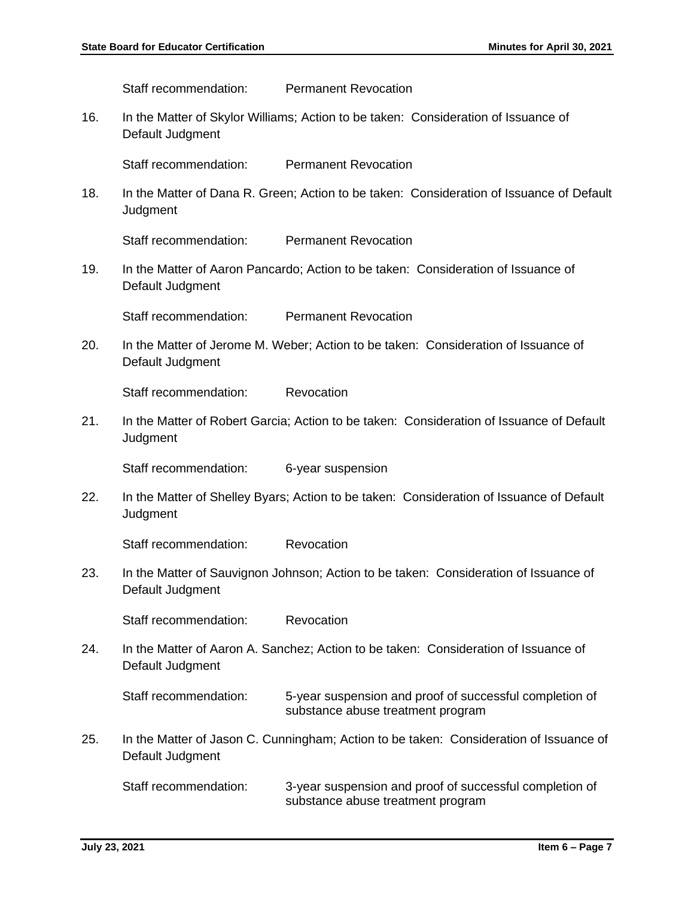Staff recommendation: Permanent Revocation

16. In the Matter of Skylor Williams; Action to be taken: Consideration of Issuance of Default Judgment

Staff recommendation: Permanent Revocation

18. In the Matter of Dana R. Green; Action to be taken: Consideration of Issuance of Default **Judgment** 

Staff recommendation: Permanent Revocation

19. In the Matter of Aaron Pancardo; Action to be taken: Consideration of Issuance of Default Judgment

Staff recommendation: Permanent Revocation

20. In the Matter of Jerome M. Weber; Action to be taken: Consideration of Issuance of Default Judgment

Staff recommendation: Revocation

21. In the Matter of Robert Garcia; Action to be taken: Consideration of Issuance of Default **Judgment** 

Staff recommendation: 6-year suspension

22. In the Matter of Shelley Byars; Action to be taken: Consideration of Issuance of Default **Judgment** 

Staff recommendation: Revocation

23. In the Matter of Sauvignon Johnson; Action to be taken: Consideration of Issuance of Default Judgment

Staff recommendation: Revocation

24. In the Matter of Aaron A. Sanchez; Action to be taken: Consideration of Issuance of Default Judgment

Staff recommendation: 5-year suspension and proof of successful completion of substance abuse treatment program

25. In the Matter of Jason C. Cunningham; Action to be taken: Consideration of Issuance of Default Judgment

Staff recommendation: 3-year suspension and proof of successful completion of substance abuse treatment program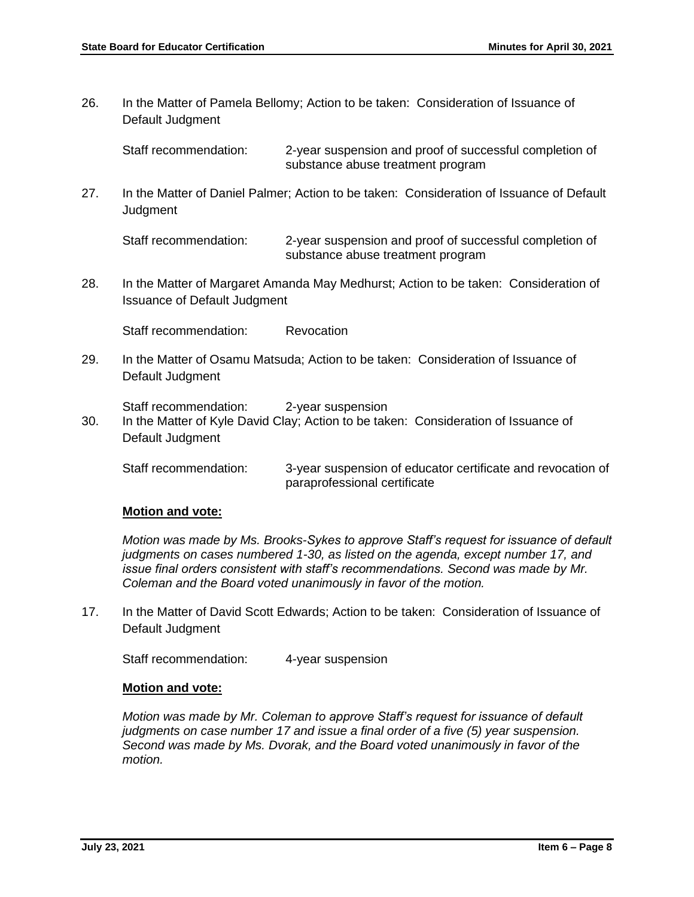26. In the Matter of Pamela Bellomy; Action to be taken: Consideration of Issuance of Default Judgment

Staff recommendation: 2-year suspension and proof of successful completion of substance abuse treatment program

27. In the Matter of Daniel Palmer; Action to be taken: Consideration of Issuance of Default **Judgment** 

Staff recommendation: 2-year suspension and proof of successful completion of substance abuse treatment program

28. In the Matter of Margaret Amanda May Medhurst; Action to be taken: Consideration of Issuance of Default Judgment

Staff recommendation: Revocation

29. In the Matter of Osamu Matsuda; Action to be taken: Consideration of Issuance of Default Judgment

Staff recommendation: 2-year suspension

30. In the Matter of Kyle David Clay; Action to be taken: Consideration of Issuance of Default Judgment

Staff recommendation: 3-year suspension of educator certificate and revocation of paraprofessional certificate

#### **Motion and vote:**

*Motion was made by Ms. Brooks-Sykes to approve Staff's request for issuance of default judgments on cases numbered 1-30, as listed on the agenda, except number 17, and issue final orders consistent with staff's recommendations. Second was made by Mr. Coleman and the Board voted unanimously in favor of the motion.* 

17. In the Matter of David Scott Edwards; Action to be taken: Consideration of Issuance of Default Judgment

Staff recommendation: 4-year suspension

#### **Motion and vote:**

*Motion was made by Mr. Coleman to approve Staff's request for issuance of default judgments on case number 17 and issue a final order of a five (5) year suspension. Second was made by Ms. Dvorak, and the Board voted unanimously in favor of the motion.*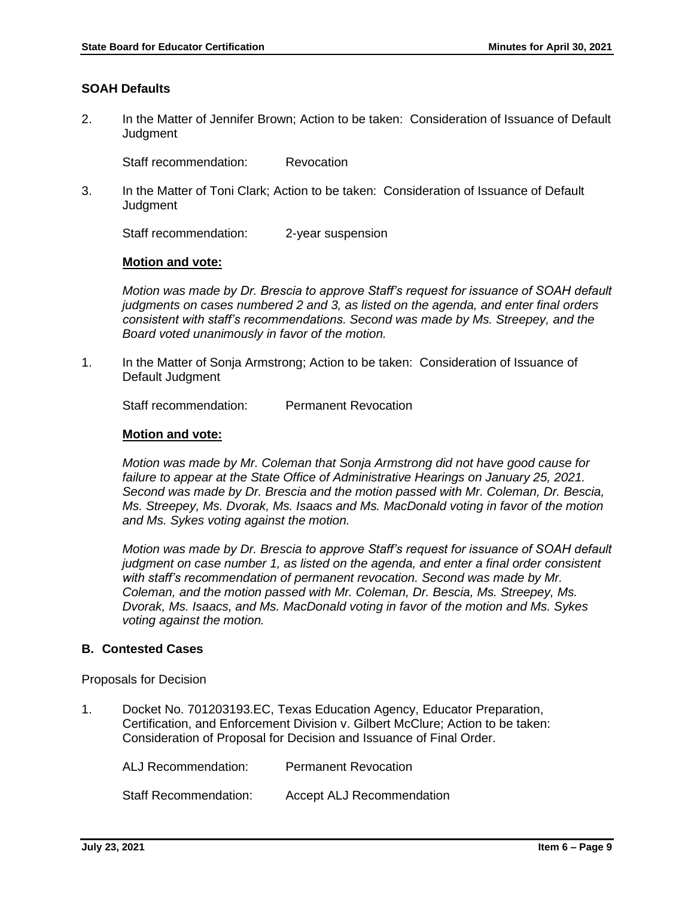## **SOAH Defaults**

2. In the Matter of Jennifer Brown; Action to be taken: Consideration of Issuance of Default **Judament** 

Staff recommendation: Revocation

3. In the Matter of Toni Clark; Action to be taken: Consideration of Issuance of Default **Judgment** 

Staff recommendation: 2-year suspension

#### **Motion and vote:**

*Motion was made by Dr. Brescia to approve Staff's request for issuance of SOAH default judgments on cases numbered 2 and 3, as listed on the agenda, and enter final orders consistent with staff's recommendations. Second was made by Ms. Streepey, and the Board voted unanimously in favor of the motion.* 

1. In the Matter of Sonja Armstrong; Action to be taken: Consideration of Issuance of Default Judgment

Staff recommendation: Permanent Revocation

#### **Motion and vote:**

*Motion was made by Mr. Coleman that Sonja Armstrong did not have good cause for failure to appear at the State Office of Administrative Hearings on January 25, 2021. Second was made by Dr. Brescia and the motion passed with Mr. Coleman, Dr. Bescia, Ms. Streepey, Ms. Dvorak, Ms. Isaacs and Ms. MacDonald voting in favor of the motion and Ms. Sykes voting against the motion.* 

*Motion was made by Dr. Brescia to approve Staff's request for issuance of SOAH default judgment on case number 1, as listed on the agenda, and enter a final order consistent with staff's recommendation of permanent revocation. Second was made by Mr. Coleman, and the motion passed with Mr. Coleman, Dr. Bescia, Ms. Streepey, Ms. Dvorak, Ms. Isaacs, and Ms. MacDonald voting in favor of the motion and Ms. Sykes voting against the motion.* 

#### **B. Contested Cases**

Proposals for Decision

1. Docket No. 701203193.EC, Texas Education Agency, Educator Preparation, Certification, and Enforcement Division v. Gilbert McClure; Action to be taken: Consideration of Proposal for Decision and Issuance of Final Order.

ALJ Recommendation: Permanent Revocation

Staff Recommendation: Accept ALJ Recommendation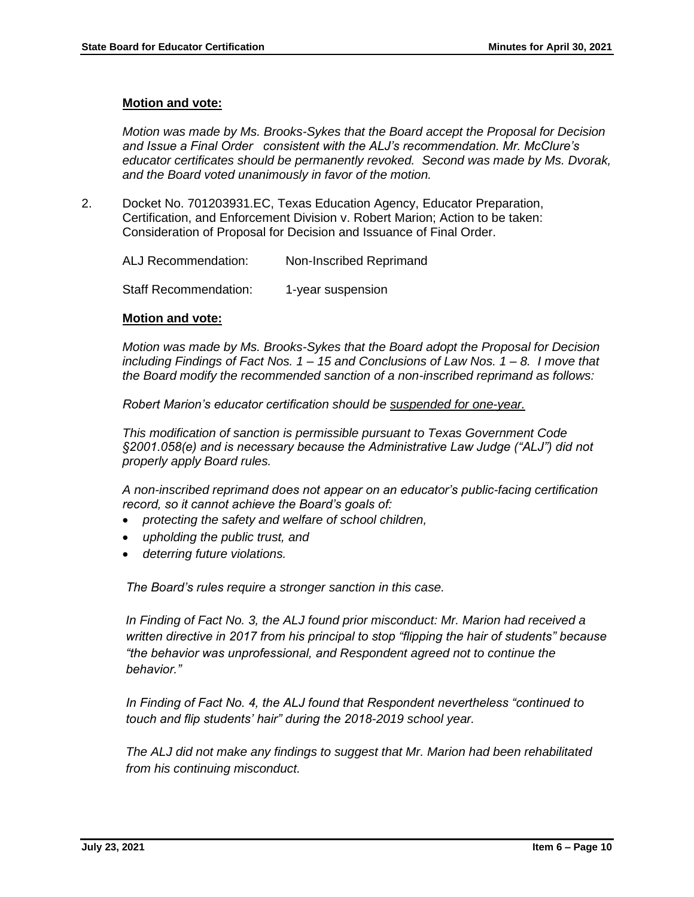#### **Motion and vote:**

*Motion was made by Ms. Brooks-Sykes that the Board accept the Proposal for Decision and Issue a Final Order consistent with the ALJ's recommendation. Mr. McClure's educator certificates should be permanently revoked. Second was made by Ms. Dvorak, and the Board voted unanimously in favor of the motion.* 

2. Docket No. 701203931.EC, Texas Education Agency, Educator Preparation, Certification, and Enforcement Division v. Robert Marion; Action to be taken: Consideration of Proposal for Decision and Issuance of Final Order.

ALJ Recommendation: Non-Inscribed Reprimand

Staff Recommendation: 1-year suspension

#### **Motion and vote:**

*Motion was made by Ms. Brooks-Sykes that the Board adopt the Proposal for Decision including Findings of Fact Nos. 1 – 15 and Conclusions of Law Nos. 1 – 8. I move that the Board modify the recommended sanction of a non-inscribed reprimand as follows:*

*Robert Marion's educator certification should be suspended for one-year.*

*This modification of sanction is permissible pursuant to Texas Government Code §2001.058(e) and is necessary because the Administrative Law Judge ("ALJ") did not properly apply Board rules.*

*A non-inscribed reprimand does not appear on an educator's public-facing certification record, so it cannot achieve the Board's goals of:*

- *protecting the safety and welfare of school children,*
- *upholding the public trust, and*
- *deterring future violations.*

*The Board's rules require a stronger sanction in this case.*

*In Finding of Fact No. 3, the ALJ found prior misconduct: Mr. Marion had received a written directive in 2017 from his principal to stop "flipping the hair of students" because "the behavior was unprofessional, and Respondent agreed not to continue the behavior."* 

*In Finding of Fact No. 4, the ALJ found that Respondent nevertheless "continued to touch and flip students' hair" during the 2018-2019 school year.* 

*The ALJ did not make any findings to suggest that Mr. Marion had been rehabilitated from his continuing misconduct.*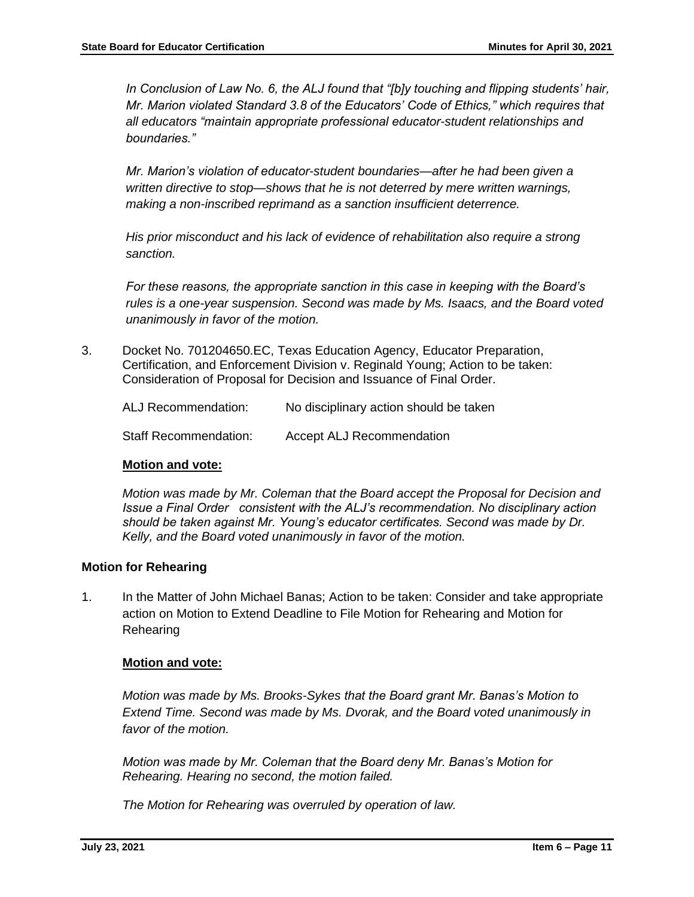*In Conclusion of Law No. 6, the ALJ found that "[b]y touching and flipping students' hair, Mr. Marion violated Standard 3.8 of the Educators' Code of Ethics," which requires that all educators "maintain appropriate professional educator-student relationships and boundaries."* 

*Mr. Marion's violation of educator-student boundaries—after he had been given a written directive to stop—shows that he is not deterred by mere written warnings, making a non-inscribed reprimand as a sanction insufficient deterrence.* 

*His prior misconduct and his lack of evidence of rehabilitation also require a strong sanction.*

*For these reasons, the appropriate sanction in this case in keeping with the Board's rules is a one-year suspension. Second was made by Ms. Isaacs, and the Board voted unanimously in favor of the motion.* 

3. Docket No. 701204650.EC, Texas Education Agency, Educator Preparation, Certification, and Enforcement Division v. Reginald Young; Action to be taken: Consideration of Proposal for Decision and Issuance of Final Order.

| ALJ Recommendation:          | No disciplinary action should be taken |
|------------------------------|----------------------------------------|
| <b>Staff Recommendation:</b> | <b>Accept ALJ Recommendation</b>       |

#### **Motion and vote:**

*Motion was made by Mr. Coleman that the Board accept the Proposal for Decision and Issue a Final Order consistent with the ALJ's recommendation. No disciplinary action should be taken against Mr. Young's educator certificates. Second was made by Dr. Kelly, and the Board voted unanimously in favor of the motion.* 

## **Motion for Rehearing**

1. In the Matter of John Michael Banas; Action to be taken: Consider and take appropriate action on Motion to Extend Deadline to File Motion for Rehearing and Motion for Rehearing

## **Motion and vote:**

*Motion was made by Ms. Brooks-Sykes that the Board grant Mr. Banas's Motion to Extend Time. Second was made by Ms. Dvorak, and the Board voted unanimously in favor of the motion.*

*Motion was made by Mr. Coleman that the Board deny Mr. Banas's Motion for Rehearing. Hearing no second, the motion failed.* 

*The Motion for Rehearing was overruled by operation of law.*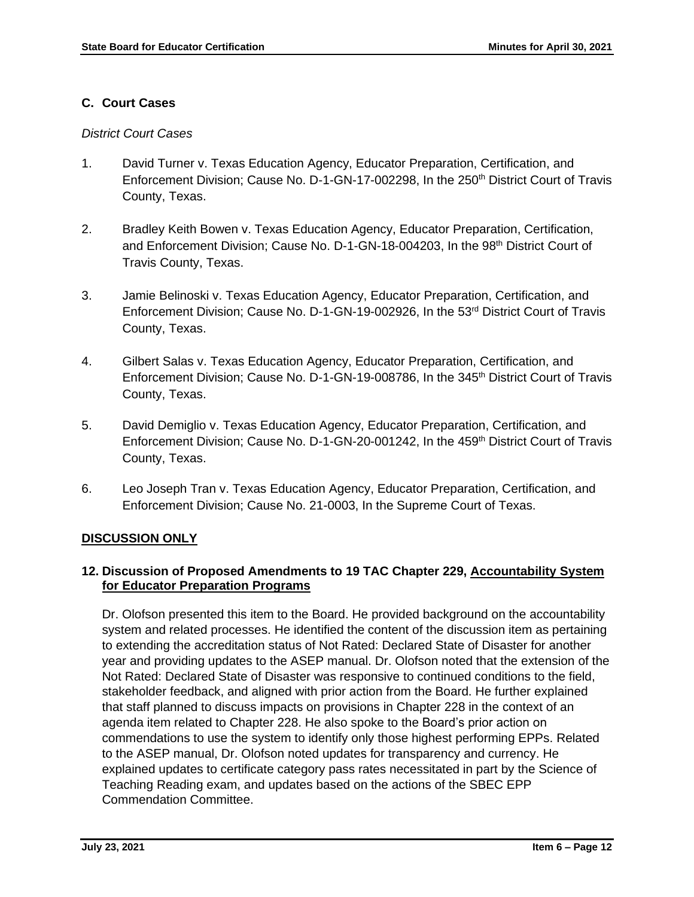## **C. Court Cases**

## *District Court Cases*

- 1. David Turner v. Texas Education Agency, Educator Preparation, Certification, and Enforcement Division; Cause No. D-1-GN-17-002298, In the 250<sup>th</sup> District Court of Travis County, Texas.
- 2. Bradley Keith Bowen v. Texas Education Agency, Educator Preparation, Certification, and Enforcement Division; Cause No. D-1-GN-18-004203, In the 98<sup>th</sup> District Court of Travis County, Texas.
- 3. Jamie Belinoski v. Texas Education Agency, Educator Preparation, Certification, and Enforcement Division; Cause No. D-1-GN-19-002926, In the 53<sup>rd</sup> District Court of Travis County, Texas.
- 4. Gilbert Salas v. Texas Education Agency, Educator Preparation, Certification, and Enforcement Division; Cause No. D-1-GN-19-008786, In the 345<sup>th</sup> District Court of Travis County, Texas.
- 5. David Demiglio v. Texas Education Agency, Educator Preparation, Certification, and Enforcement Division; Cause No. D-1-GN-20-001242, In the 459th District Court of Travis County, Texas.
- 6. Leo Joseph Tran v. Texas Education Agency, Educator Preparation, Certification, and Enforcement Division; Cause No. 21-0003, In the Supreme Court of Texas.

## **DISCUSSION ONLY**

## **12. Discussion of Proposed Amendments to 19 TAC Chapter 229, Accountability System for Educator Preparation Programs**

Dr. Olofson presented this item to the Board. He provided background on the accountability system and related processes. He identified the content of the discussion item as pertaining to extending the accreditation status of Not Rated: Declared State of Disaster for another year and providing updates to the ASEP manual. Dr. Olofson noted that the extension of the Not Rated: Declared State of Disaster was responsive to continued conditions to the field, stakeholder feedback, and aligned with prior action from the Board. He further explained that staff planned to discuss impacts on provisions in Chapter 228 in the context of an agenda item related to Chapter 228. He also spoke to the Board's prior action on commendations to use the system to identify only those highest performing EPPs. Related to the ASEP manual, Dr. Olofson noted updates for transparency and currency. He explained updates to certificate category pass rates necessitated in part by the Science of Teaching Reading exam, and updates based on the actions of the SBEC EPP Commendation Committee.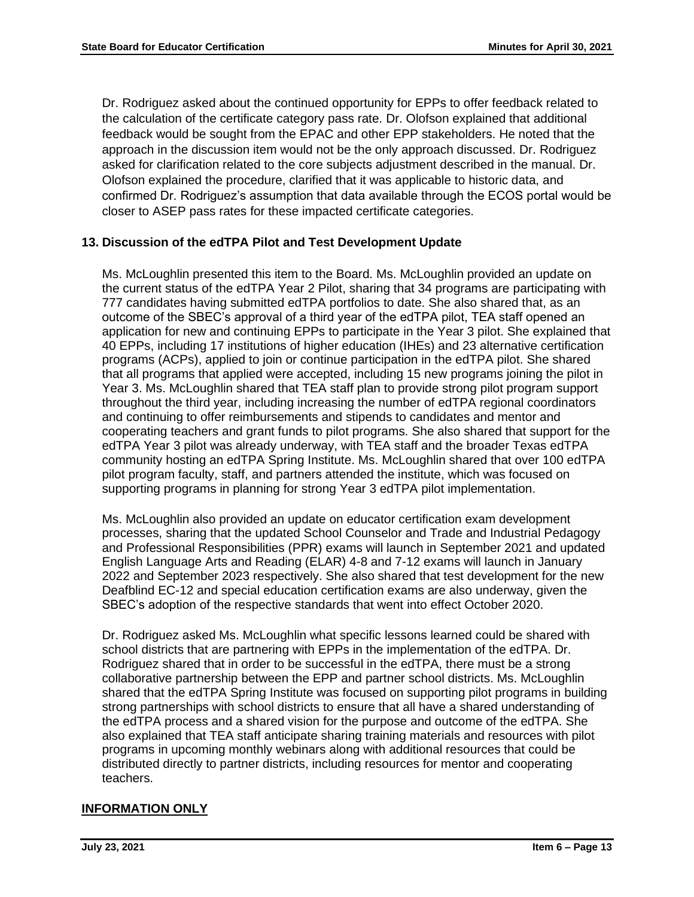Dr. Rodriguez asked about the continued opportunity for EPPs to offer feedback related to the calculation of the certificate category pass rate. Dr. Olofson explained that additional feedback would be sought from the EPAC and other EPP stakeholders. He noted that the approach in the discussion item would not be the only approach discussed. Dr. Rodriguez asked for clarification related to the core subjects adjustment described in the manual. Dr. Olofson explained the procedure, clarified that it was applicable to historic data, and confirmed Dr. Rodriguez's assumption that data available through the ECOS portal would be closer to ASEP pass rates for these impacted certificate categories.

## **13. Discussion of the edTPA Pilot and Test Development Update**

Ms. McLoughlin presented this item to the Board. Ms. McLoughlin provided an update on the current status of the edTPA Year 2 Pilot, sharing that 34 programs are participating with 777 candidates having submitted edTPA portfolios to date. She also shared that, as an outcome of the SBEC's approval of a third year of the edTPA pilot, TEA staff opened an application for new and continuing EPPs to participate in the Year 3 pilot. She explained that 40 EPPs, including 17 institutions of higher education (IHEs) and 23 alternative certification programs (ACPs), applied to join or continue participation in the edTPA pilot. She shared that all programs that applied were accepted, including 15 new programs joining the pilot in Year 3. Ms. McLoughlin shared that TEA staff plan to provide strong pilot program support throughout the third year, including increasing the number of edTPA regional coordinators and continuing to offer reimbursements and stipends to candidates and mentor and cooperating teachers and grant funds to pilot programs. She also shared that support for the edTPA Year 3 pilot was already underway, with TEA staff and the broader Texas edTPA community hosting an edTPA Spring Institute. Ms. McLoughlin shared that over 100 edTPA pilot program faculty, staff, and partners attended the institute, which was focused on supporting programs in planning for strong Year 3 edTPA pilot implementation.

Ms. McLoughlin also provided an update on educator certification exam development processes, sharing that the updated School Counselor and Trade and Industrial Pedagogy and Professional Responsibilities (PPR) exams will launch in September 2021 and updated English Language Arts and Reading (ELAR) 4-8 and 7-12 exams will launch in January 2022 and September 2023 respectively. She also shared that test development for the new Deafblind EC-12 and special education certification exams are also underway, given the SBEC's adoption of the respective standards that went into effect October 2020.

Dr. Rodriguez asked Ms. McLoughlin what specific lessons learned could be shared with school districts that are partnering with EPPs in the implementation of the edTPA. Dr. Rodriguez shared that in order to be successful in the edTPA, there must be a strong collaborative partnership between the EPP and partner school districts. Ms. McLoughlin shared that the edTPA Spring Institute was focused on supporting pilot programs in building strong partnerships with school districts to ensure that all have a shared understanding of the edTPA process and a shared vision for the purpose and outcome of the edTPA. She also explained that TEA staff anticipate sharing training materials and resources with pilot programs in upcoming monthly webinars along with additional resources that could be distributed directly to partner districts, including resources for mentor and cooperating teachers.

## **INFORMATION ONLY**